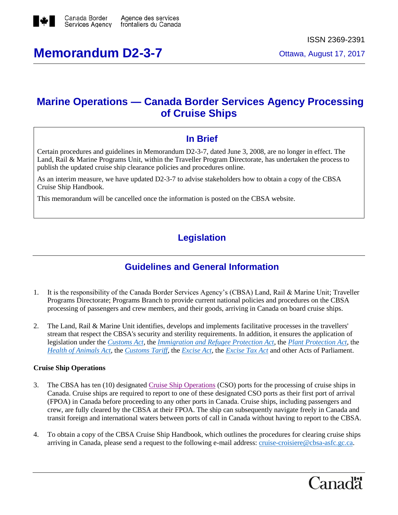

# **Memorandum D2-3-7** Ottawa, August 17, 2017

# **Marine Operations — Canada Border Services Agency Processing of Cruise Ships**

### **In Brief**

Certain procedures and guidelines in Memorandum D2-3-7, dated June 3, 2008, are no longer in effect. The Land, Rail & Marine Programs Unit, within the Traveller Program Directorate, has undertaken the process to publish the updated cruise ship clearance policies and procedures online.

As an interim measure, we have updated D2-3-7 to advise stakeholders how to obtain a copy of the CBSA Cruise Ship Handbook.

This memorandum will be cancelled once the information is posted on the CBSA website.

## **Legislation**

### **Guidelines and General Information**

- 1. It is the responsibility of the Canada Border Services Agency's (CBSA) Land, Rail & Marine Unit; Traveller Programs Directorate; Programs Branch to provide current national policies and procedures on the CBSA processing of passengers and crew members, and their goods, arriving in Canada on board cruise ships.
- 2. The Land, Rail & Marine Unit identifies, develops and implements facilitative processes in the travellers' stream that respect the CBSA's security and sterility requirements. In addition, it ensures the application of legislation under the *[Customs Act](http://laws-lois.justice.gc.ca/eng/acts/C-52.6/)*, the *[Immigration and Refugee Protection Act](http://laws.justice.gc.ca/eng/acts/i-2.5/)*, the *[Plant Protection Act](http://laws-lois.justice.gc.ca/eng/acts/P-14.8/)*, the *[Health of Animals Act](http://laws-lois.justice.gc.ca/eng/acts/H-3.3/)*, the *[Customs Tariff](http://laws-lois.justice.gc.ca/eng/acts/C-54.011/)*, the *[Excise Act](http://laws-lois.justice.gc.ca/eng/acts/E-14/)*, the *[Excise Tax Act](http://laws-lois.justice.gc.ca/eng/acts/E-15/)* and other Acts of Parliament.

#### **Cruise Ship Operations**

- 3. The CBSA has ten (10) designate[d Cruise Ship Operations](http://recherche-search.gc.ca/rGs/s_r?q=E99&cdn=cbsa&st=s&num=10&langs=eng&st1rt=0&s5bm3ts21rch=x) (CSO) ports for the processing of cruise ships in Canada. Cruise ships are required to report to one of these designated CSO ports as their first port of arrival (FPOA) in Canada before proceeding to any other ports in Canada. Cruise ships, including passengers and crew, are fully cleared by the CBSA at their FPOA. The ship can subsequently navigate freely in Canada and transit foreign and international waters between ports of call in Canada without having to report to the CBSA.
- 4. To obtain a copy of the CBSA Cruise Ship Handbook, which outlines the procedures for clearing cruise ships arriving in Canada, please send a request to the following e-mail address: [cruise-croisiere@cbsa-asfc.gc.ca.](mailto:cruise-croisiere@cbsa-asfc.gc.ca)